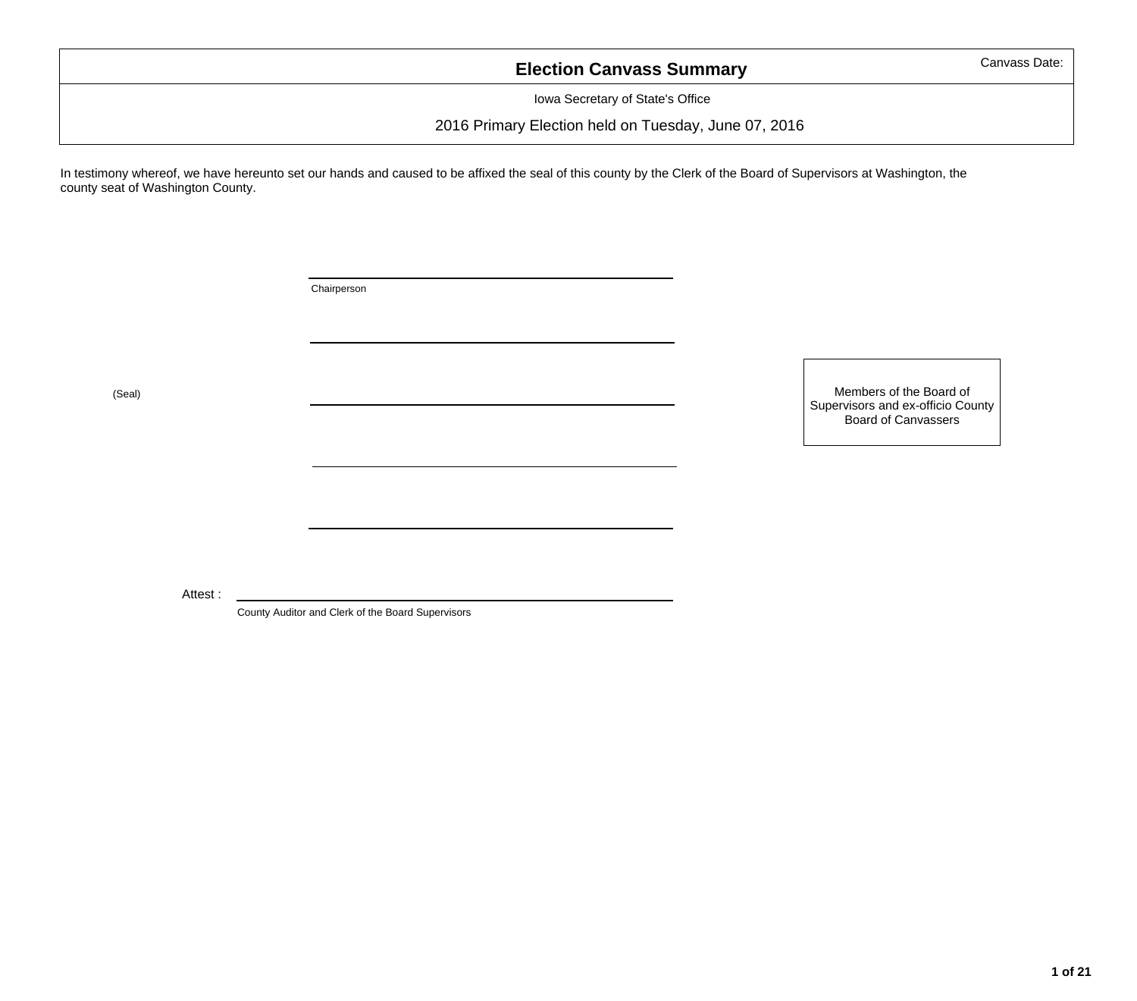### **Election Canvass Summary**

Iowa Secretary of State's Office

2016 Primary Election held on Tuesday, June 07, 2016

In testimony whereof, we have hereunto set our hands and caused to be affixed the seal of this county by the Clerk of the Board of Supervisors at Washington, the county seat of Washington County.

Chairperson

(Seal)

Members of the Board of Supervisors and ex-officio County Board of Canvassers

Attest :

County Auditor and Clerk of the Board Supervisors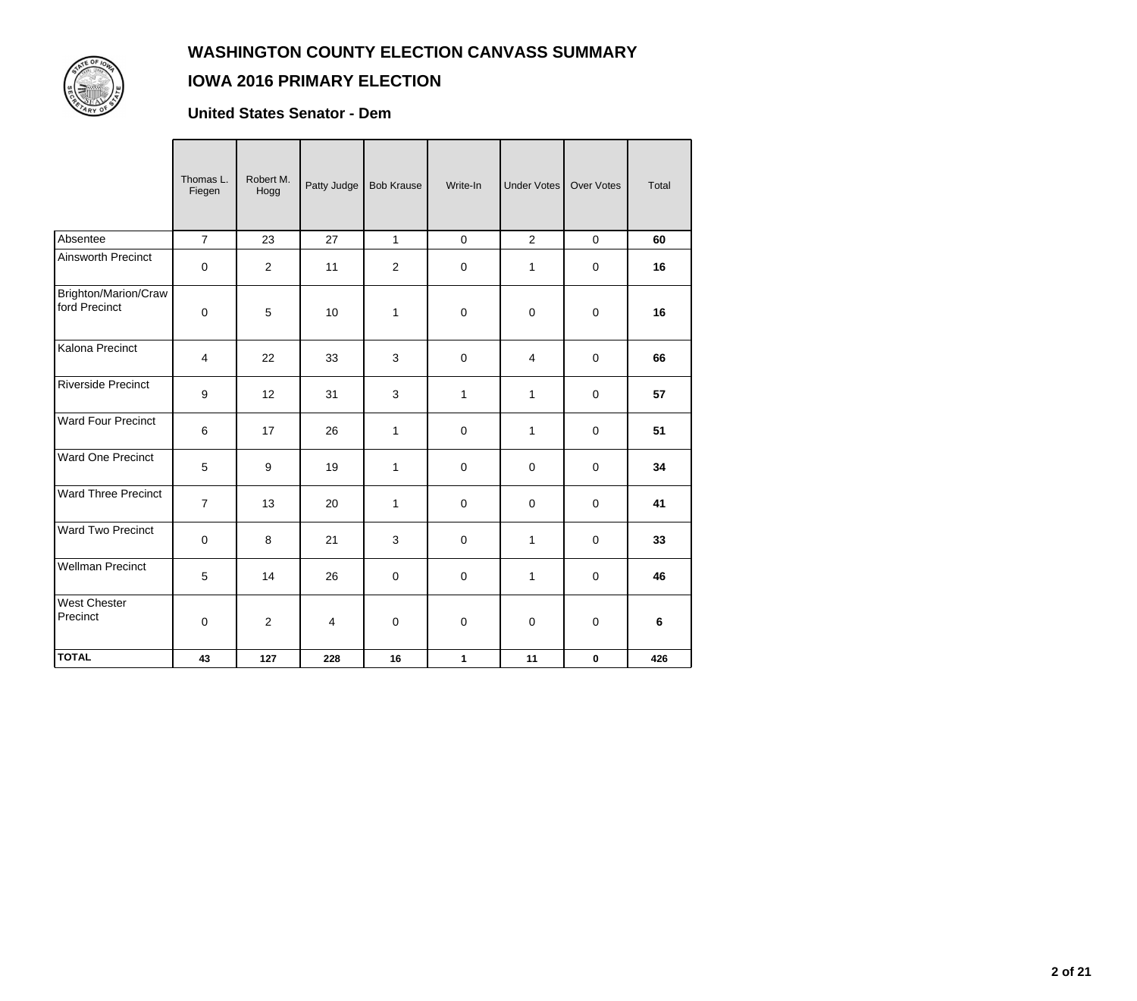

### **IOWA 2016 PRIMARY ELECTION**

#### **United States Senator - Dem**

|                                       | Thomas L.<br>Fiegen | Robert M.<br>Hogg | Patty Judge    | <b>Bob Krause</b> | Write-In            | <b>Under Votes</b> | <b>Over Votes</b> | Total |
|---------------------------------------|---------------------|-------------------|----------------|-------------------|---------------------|--------------------|-------------------|-------|
| Absentee                              | $\overline{7}$      | 23                | 27             | $\mathbf{1}$      | $\mathsf{O}\xspace$ | $\overline{2}$     | $\pmb{0}$         | 60    |
| Ainsworth Precinct                    | 0                   | $\overline{2}$    | 11             | $\overline{2}$    | $\pmb{0}$           | 1                  | $\mathbf 0$       | 16    |
| Brighton/Marion/Craw<br>ford Precinct | $\mathbf 0$         | 5                 | 10             | 1                 | $\pmb{0}$           | $\mathbf 0$        | $\mathbf 0$       | 16    |
| Kalona Precinct                       | $\overline{4}$      | 22                | 33             | 3                 | $\pmb{0}$           | $\overline{4}$     | $\mathbf 0$       | 66    |
| <b>Riverside Precinct</b>             | 9                   | 12                | 31             | $\mathbf{3}$      | $\mathbf 1$         | $\mathbf 1$        | $\mathbf 0$       | 57    |
| Ward Four Precinct                    | 6                   | 17                | 26             | $\mathbf{1}$      | $\mathbf 0$         | $\mathbf{1}$       | $\mathbf 0$       | 51    |
| Ward One Precinct                     | 5                   | 9                 | 19             | 1                 | $\pmb{0}$           | $\mathbf 0$        | $\mathbf 0$       | 34    |
| <b>Ward Three Precinct</b>            | $\overline{7}$      | 13                | 20             | 1                 | $\pmb{0}$           | $\mathbf 0$        | $\mathbf 0$       | 41    |
| Ward Two Precinct                     | $\mathbf 0$         | 8                 | 21             | 3                 | $\pmb{0}$           | $\mathbf{1}$       | $\mathbf 0$       | 33    |
| <b>Wellman Precinct</b>               | $\sqrt{5}$          | 14                | 26             | $\boldsymbol{0}$  | $\pmb{0}$           | $\mathbf 1$        | $\pmb{0}$         | 46    |
| <b>West Chester</b><br>Precinct       | 0                   | $\overline{2}$    | $\overline{4}$ | $\mathbf 0$       | $\boldsymbol{0}$    | $\mathbf 0$        | $\mathbf 0$       | 6     |
| <b>TOTAL</b>                          | 43                  | 127               | 228            | 16                | 1                   | 11                 | $\bf{0}$          | 426   |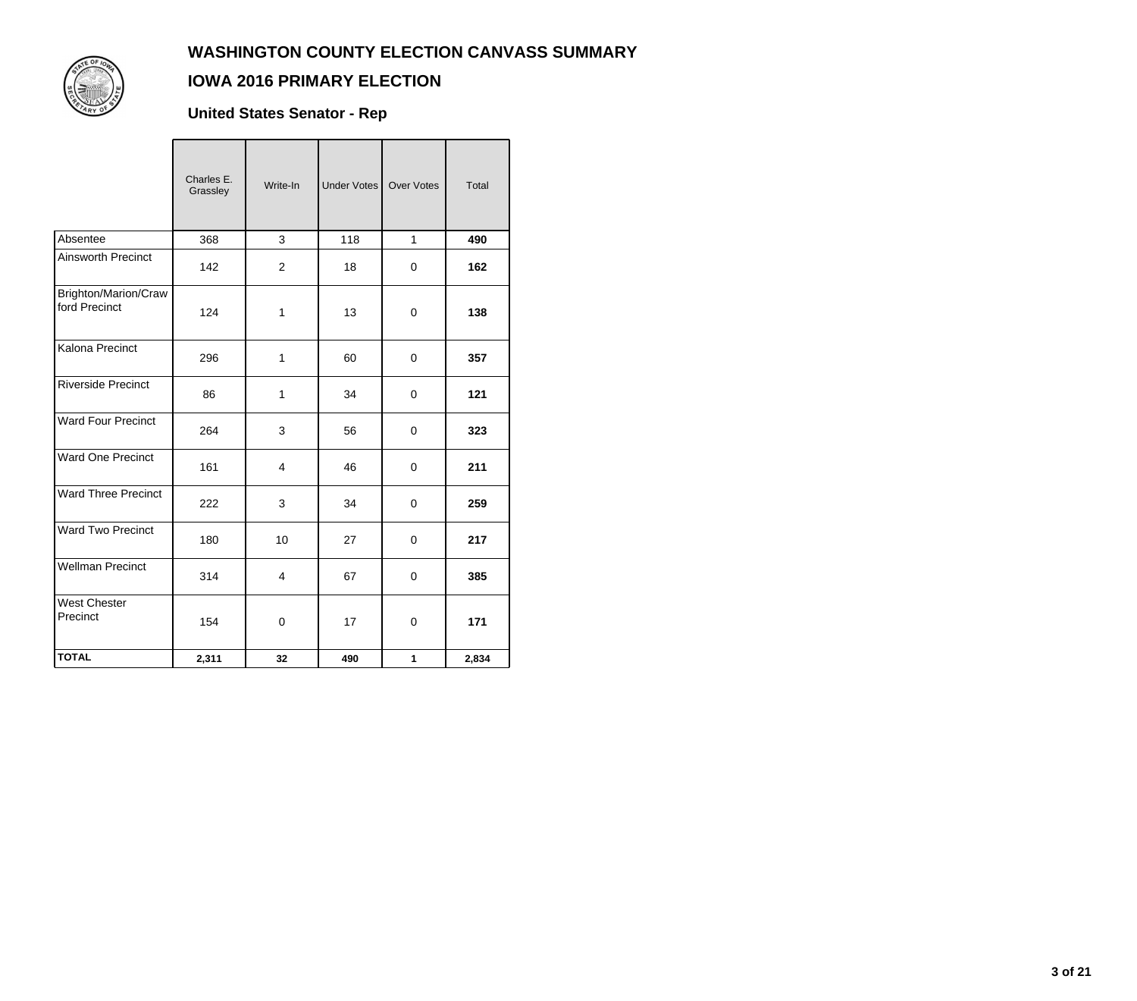

### **IOWA 2016 PRIMARY ELECTION**

**United States Senator - Rep**

|                                       | Charles E.<br>Grassley | Write-In                | Under Votes | <b>Over Votes</b> | Total |
|---------------------------------------|------------------------|-------------------------|-------------|-------------------|-------|
| Absentee                              | 368                    | 3                       | 118         | $\mathbf{1}$      | 490   |
| <b>Ainsworth Precinct</b>             | 142                    | $\overline{2}$          | 18          | 0                 | 162   |
| Brighton/Marion/Craw<br>ford Precinct | 124                    | 1                       | 13          | $\mathbf 0$       | 138   |
| Kalona Precinct                       | 296                    | 1                       | 60          | $\mathbf 0$       | 357   |
| <b>Riverside Precinct</b>             | 86                     | 1                       | 34          | $\mathbf 0$       | 121   |
| <b>Ward Four Precinct</b>             | 264                    | 3                       | 56          | $\mathbf 0$       | 323   |
| <b>Ward One Precinct</b>              | 161                    | $\overline{4}$          | 46          | $\mathbf 0$       | 211   |
| <b>Ward Three Precinct</b>            | 222                    | 3                       | 34          | 0                 | 259   |
| <b>Ward Two Precinct</b>              | 180                    | 10                      | 27          | $\mathbf 0$       | 217   |
| <b>Wellman Precinct</b>               | 314                    | $\overline{\mathbf{4}}$ | 67          | $\mathbf 0$       | 385   |
| <b>West Chester</b><br>Precinct       | 154                    | 0                       | 17          | $\mathbf 0$       | 171   |
| <b>TOTAL</b>                          | 2,311                  | 32                      | 490         | 1                 | 2,834 |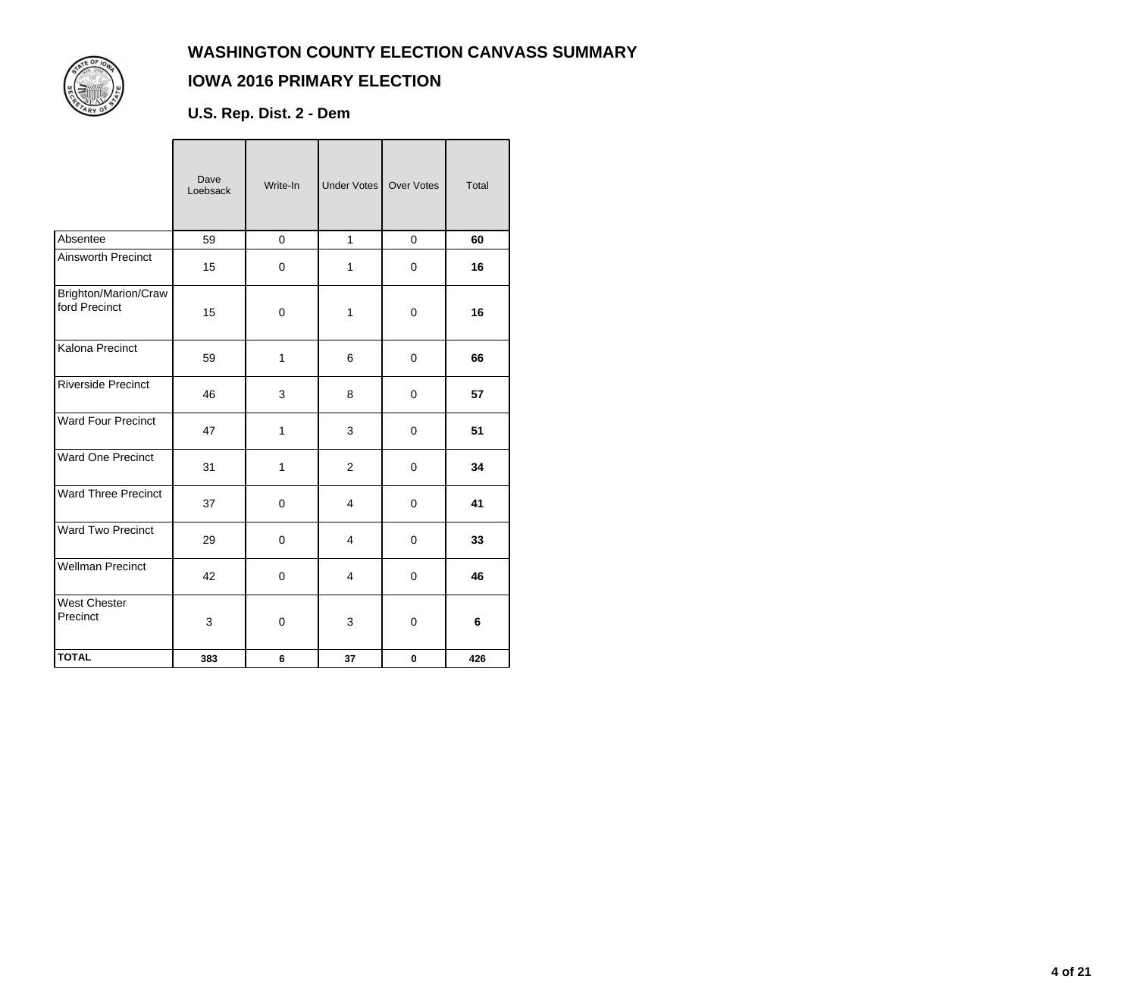

### **IOWA 2016 PRIMARY ELECTION**

**U.S. Rep. Dist. 2 - Dem**

|                                       | Dave<br>Loebsack | Write-In    | Under Votes    | <b>Over Votes</b> | Total |
|---------------------------------------|------------------|-------------|----------------|-------------------|-------|
| Absentee                              | 59               | $\mathbf 0$ | $\mathbf{1}$   | 0                 | 60    |
| Ainsworth Precinct                    | 15               | 0           | 1              | $\mathbf 0$       | 16    |
| Brighton/Marion/Craw<br>ford Precinct | 15               | 0           | $\mathbf{1}$   | $\mathbf 0$       | 16    |
| Kalona Precinct                       | 59               | 1           | 6              | $\mathbf 0$       | 66    |
| <b>Riverside Precinct</b>             | 46               | 3           | 8              | 0                 | 57    |
| <b>Ward Four Precinct</b>             | 47               | 1           | 3              | $\mathbf 0$       | 51    |
| <b>Ward One Precinct</b>              | 31               | 1           | $\overline{2}$ | $\mathbf 0$       | 34    |
| Ward Three Precinct                   | 37               | 0           | 4              | $\mathbf 0$       | 41    |
| <b>Ward Two Precinct</b>              | 29               | $\pmb{0}$   | $\overline{4}$ | $\mathbf 0$       | 33    |
| <b>Wellman Precinct</b>               | 42               | $\mathsf 0$ | $\overline{4}$ | $\pmb{0}$         | 46    |
| <b>West Chester</b><br>Precinct       | 3                | 0           | 3              | $\mathbf 0$       | 6     |
| <b>TOTAL</b>                          | 383              | 6           | 37             | $\bf{0}$          | 426   |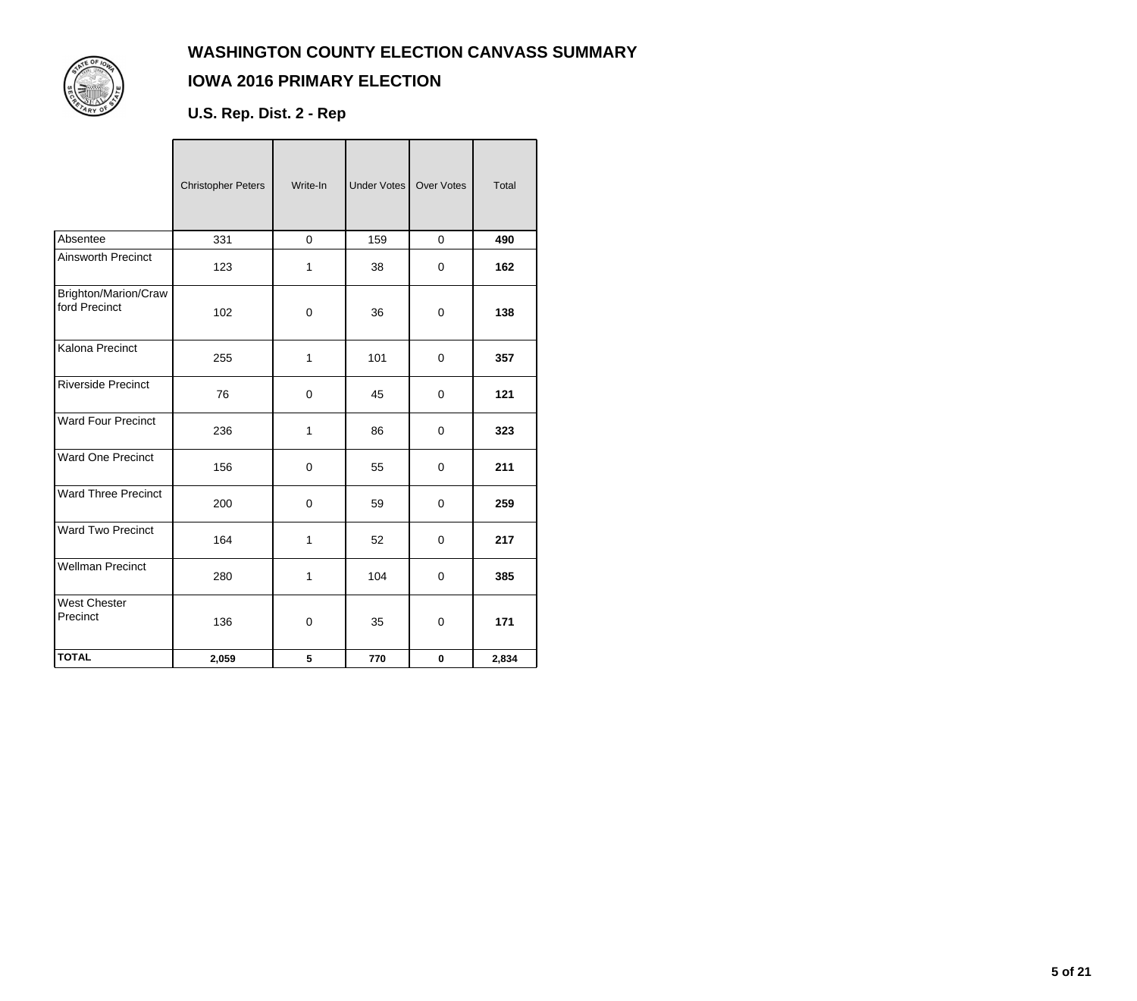

# **IOWA 2016 PRIMARY ELECTION**

**U.S. Rep. Dist. 2 - Rep**

|                                       | <b>Christopher Peters</b> | Write-In     | Under Votes | Over Votes  | Total |
|---------------------------------------|---------------------------|--------------|-------------|-------------|-------|
| Absentee                              | 331                       | $\mathbf 0$  | 159         | $\mathbf 0$ | 490   |
| Ainsworth Precinct                    | 123                       | $\mathbf{1}$ | 38          | $\mathbf 0$ | 162   |
| Brighton/Marion/Craw<br>ford Precinct | 102                       | 0            | 36          | $\Omega$    | 138   |
| Kalona Precinct                       | 255                       | 1            | 101         | $\mathbf 0$ | 357   |
| <b>Riverside Precinct</b>             | 76                        | 0            | 45          | $\mathbf 0$ | 121   |
| <b>Ward Four Precinct</b>             | 236                       | 1            | 86          | $\mathbf 0$ | 323   |
| <b>Ward One Precinct</b>              | 156                       | 0            | 55          | $\mathbf 0$ | 211   |
| <b>Ward Three Precinct</b>            | 200                       | 0            | 59          | $\mathbf 0$ | 259   |
| <b>Ward Two Precinct</b>              | 164                       | 1            | 52          | $\mathbf 0$ | 217   |
| <b>Wellman Precinct</b>               | 280                       | $\mathbf 1$  | 104         | $\pmb{0}$   | 385   |
| <b>West Chester</b><br>Precinct       | 136                       | $\mathbf 0$  | 35          | $\mathbf 0$ | 171   |
| <b>TOTAL</b>                          | 2,059                     | 5            | 770         | $\mathbf 0$ | 2,834 |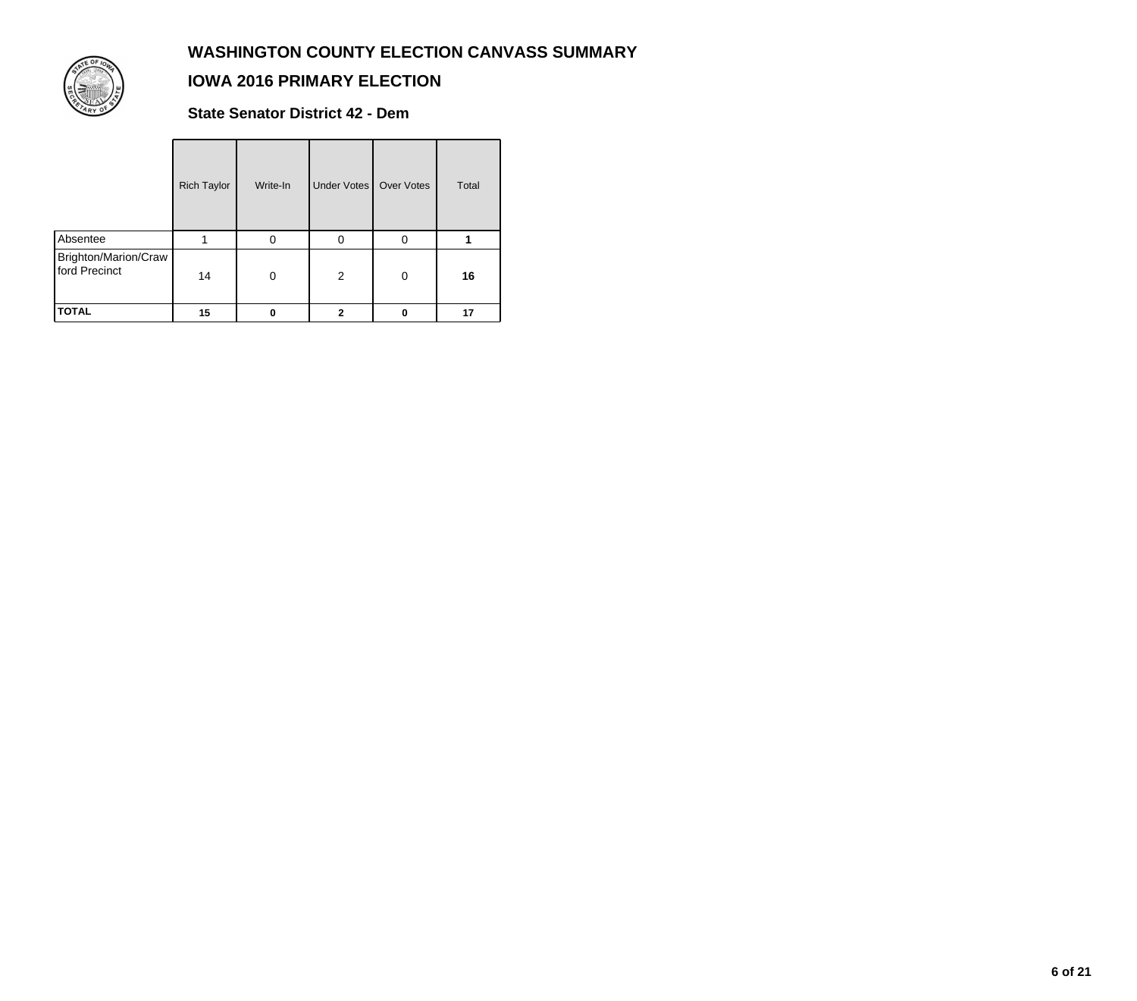

#### **IOWA 2016 PRIMARY ELECTION**

**State Senator District 42 - Dem**

|                                       | <b>Rich Taylor</b> | Write-In | Under Votes    | Over Votes | Total |
|---------------------------------------|--------------------|----------|----------------|------------|-------|
| Absentee                              |                    | 0        | 0              | $\Omega$   |       |
| Brighton/Marion/Craw<br>ford Precinct | 14                 | $\Omega$ | $\overline{2}$ | $\Omega$   | 16    |
| <b>TOTAL</b>                          | 15                 | 0        | 2              | 0          | 17    |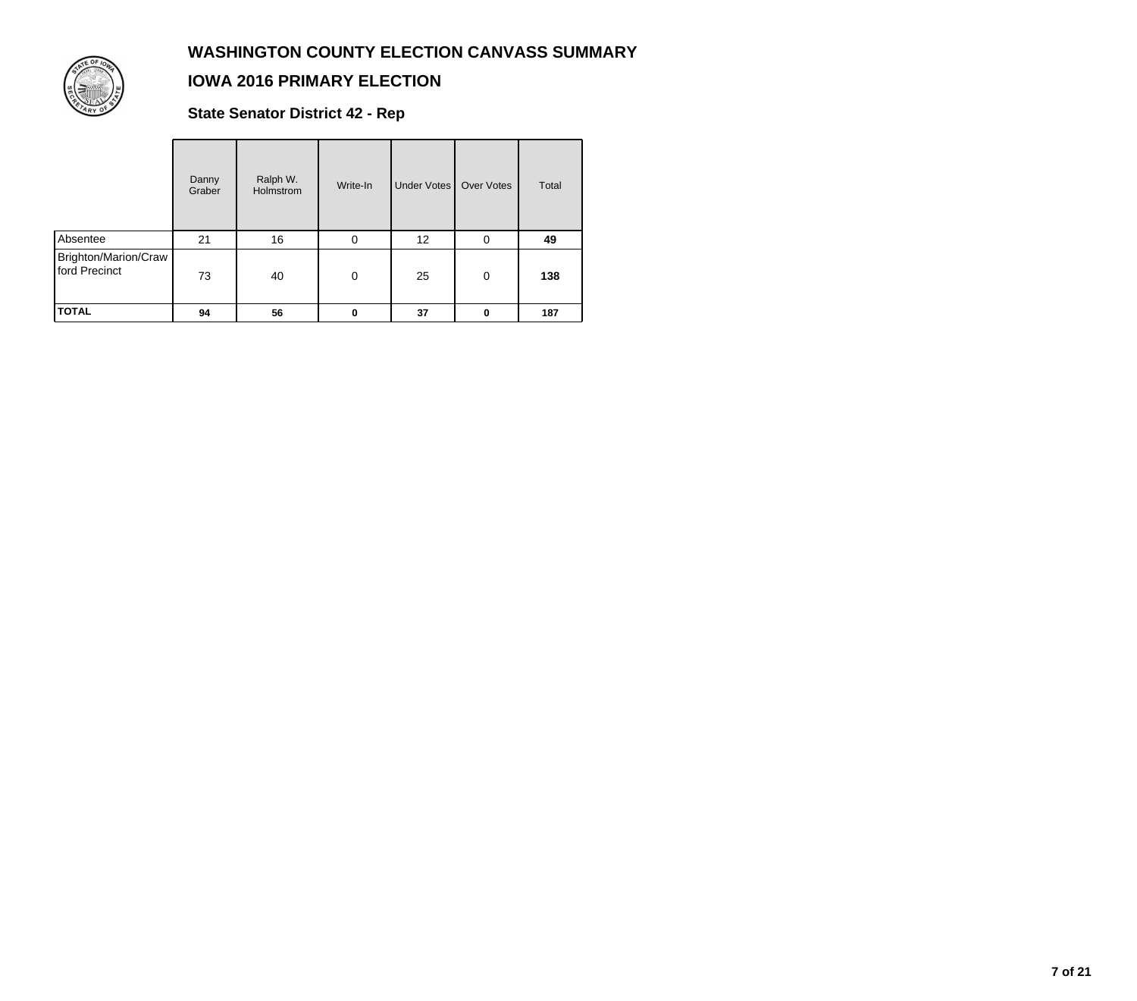

### **IOWA 2016 PRIMARY ELECTION**

**State Senator District 42 - Rep**

|                                       | Danny<br>Graber | Ralph W.<br>Holmstrom | Write-In    | <b>Under Votes</b> | <b>Over Votes</b> | Total |
|---------------------------------------|-----------------|-----------------------|-------------|--------------------|-------------------|-------|
| Absentee                              | 21              | 16                    | 0           | 12                 | 0                 | 49    |
| Brighton/Marion/Craw<br>ford Precinct | 73              | 40                    | $\mathbf 0$ | 25                 | 0                 | 138   |
| <b>TOTAL</b>                          | 94              | 56                    | 0           | 37                 | 0                 | 187   |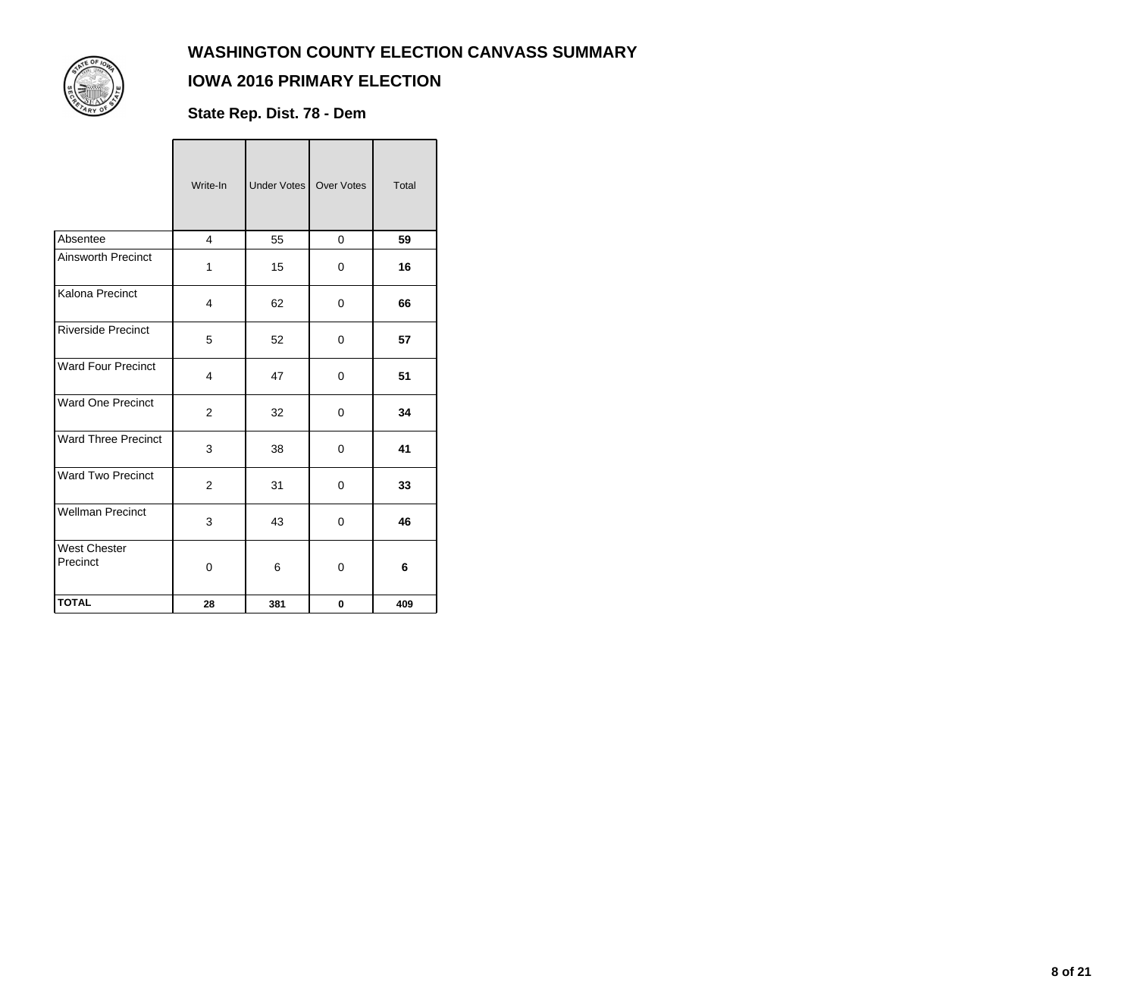

### **IOWA 2016 PRIMARY ELECTION**

**State Rep. Dist. 78 - Dem**

|                                 | Write-In       | Under Votes | Over Votes  | <b>Total</b> |
|---------------------------------|----------------|-------------|-------------|--------------|
| Absentee                        | 4              | 55          | $\mathbf 0$ | 59           |
| <b>Ainsworth Precinct</b>       | 1              | 15          | 0           | 16           |
| Kalona Precinct                 | 4              | 62          | 0           | 66           |
| <b>Riverside Precinct</b>       | 5              | 52          | 0           | 57           |
| <b>Ward Four Precinct</b>       | $\overline{4}$ | 47          | $\Omega$    | 51           |
| Ward One Precinct               | 2              | 32          | $\Omega$    | 34           |
| <b>Ward Three Precinct</b>      | 3              | 38          | 0           | 41           |
| Ward Two Precinct               | $\overline{2}$ | 31          | 0           | 33           |
| <b>Wellman Precinct</b>         | 3              | 43          | 0           | 46           |
| <b>West Chester</b><br>Precinct | $\Omega$       | 6           | 0           | 6            |
| <b>TOTAL</b>                    | 28             | 381         | 0           | 409          |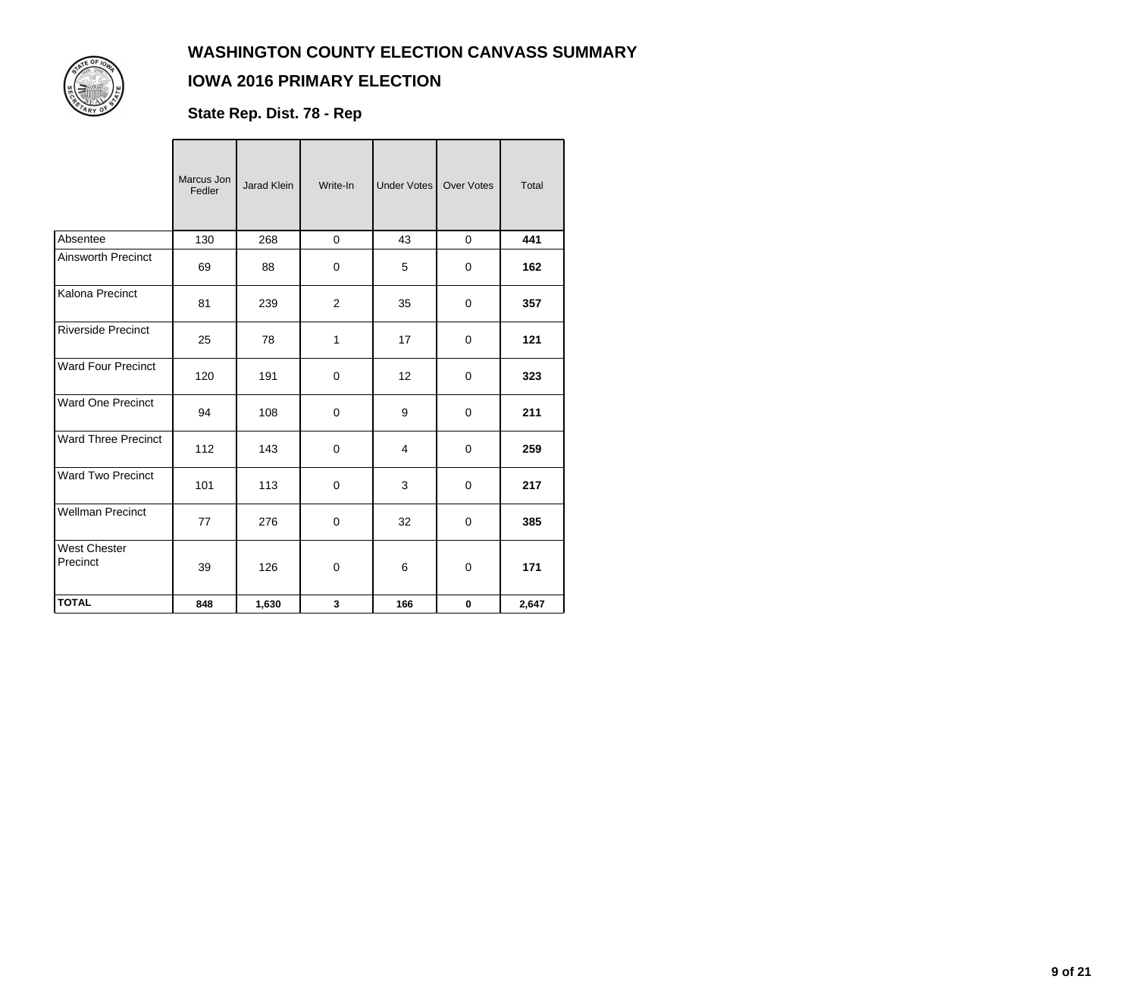

### **IOWA 2016 PRIMARY ELECTION**

**State Rep. Dist. 78 - Rep**

|                                 | Marcus Jon<br>Fedler | Jarad Klein | Write-In       | <b>Under Votes</b> | <b>Over Votes</b> | Total |
|---------------------------------|----------------------|-------------|----------------|--------------------|-------------------|-------|
| Absentee                        | 130                  | 268         | $\mathbf 0$    | 43                 | $\mathbf 0$       | 441   |
| <b>Ainsworth Precinct</b>       | 69                   | 88          | 0              | 5                  | $\mathbf 0$       | 162   |
| Kalona Precinct                 | 81                   | 239         | $\overline{2}$ | 35                 | 0                 | 357   |
| <b>Riverside Precinct</b>       | 25                   | 78          | 1              | 17                 | 0                 | 121   |
| <b>Ward Four Precinct</b>       | 120                  | 191         | $\mathbf 0$    | 12                 | 0                 | 323   |
| <b>Ward One Precinct</b>        | 94                   | 108         | 0              | 9                  | 0                 | 211   |
| <b>Ward Three Precinct</b>      | 112                  | 143         | 0              | 4                  | $\Omega$          | 259   |
| <b>Ward Two Precinct</b>        | 101                  | 113         | $\mathbf 0$    | 3                  | $\mathbf 0$       | 217   |
| <b>Wellman Precinct</b>         | 77                   | 276         | $\mathbf 0$    | 32                 | $\mathbf 0$       | 385   |
| <b>West Chester</b><br>Precinct | 39                   | 126         | 0              | 6                  | 0                 | 171   |
| <b>TOTAL</b>                    | 848                  | 1,630       | 3              | 166                | $\mathbf 0$       | 2,647 |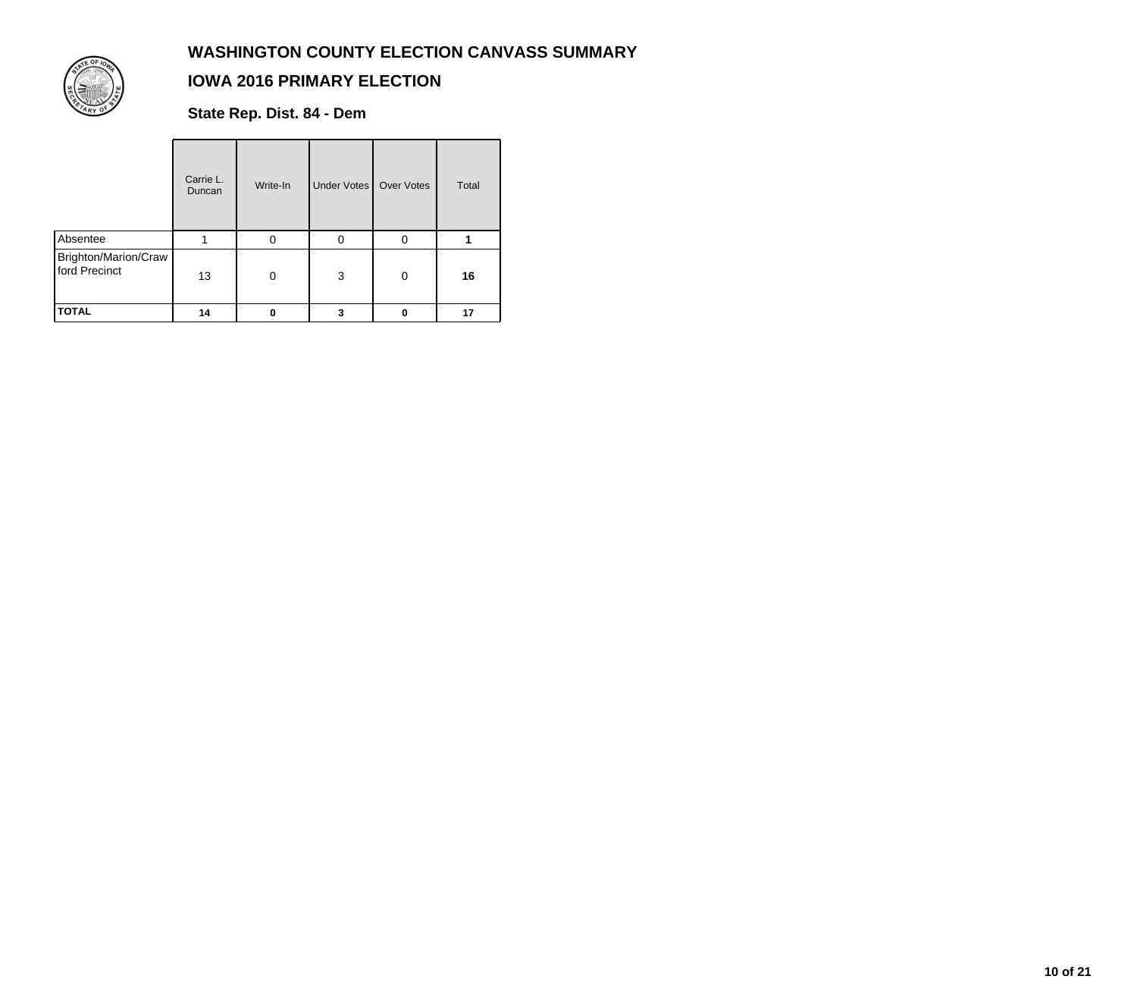

### **IOWA 2016 PRIMARY ELECTION**

**State Rep. Dist. 84 - Dem**

|                                       | Carrie L.<br>Duncan | Write-In | Under Votes   Over Votes |              | Total |
|---------------------------------------|---------------------|----------|--------------------------|--------------|-------|
| Absentee                              |                     | 0        | $\Omega$                 | $\Omega$     |       |
| Brighton/Marion/Craw<br>ford Precinct | 13                  | $\Omega$ | 3                        | $\mathbf{0}$ | 16    |
| <b>TOTAL</b>                          | 14                  | 0        | 3                        | 0            | 17    |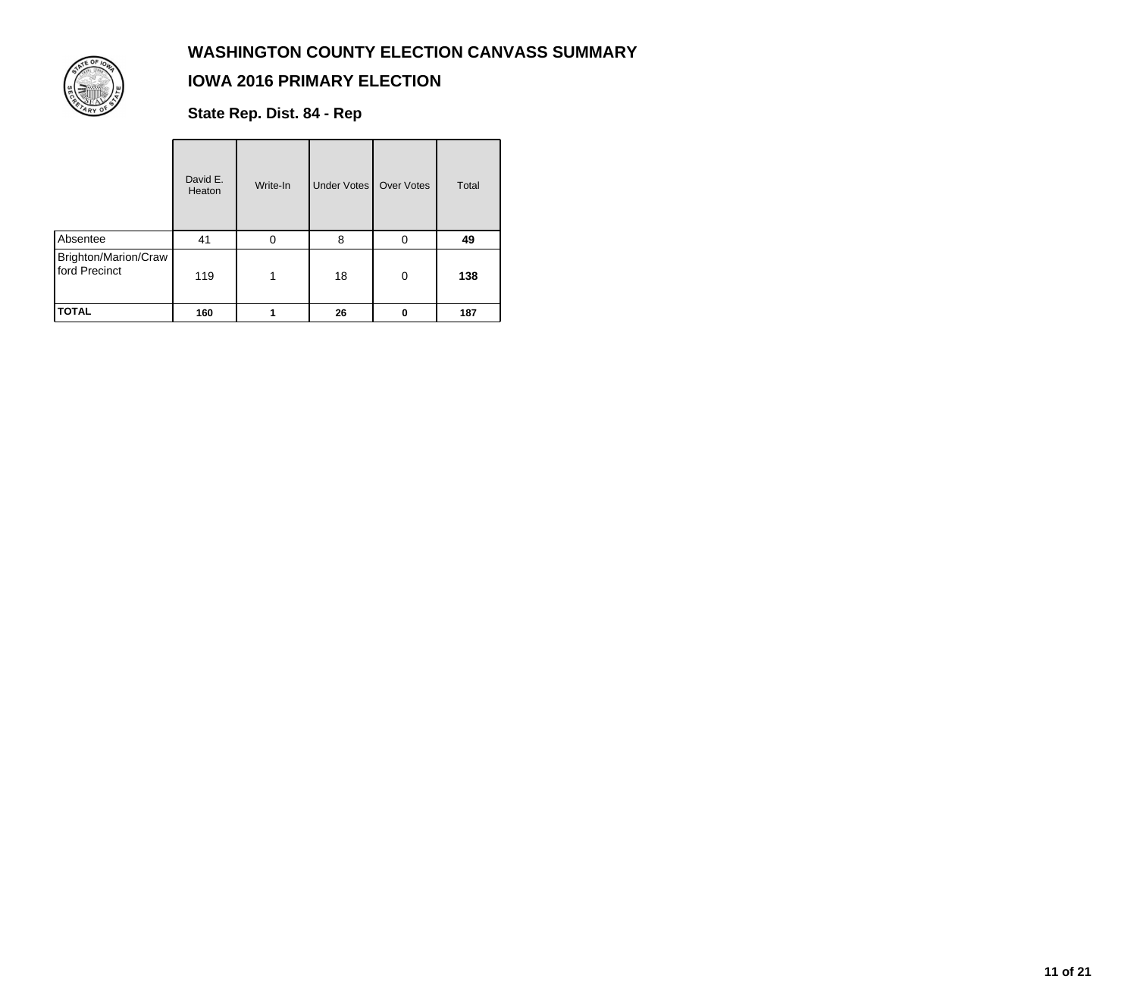

### **IOWA 2016 PRIMARY ELECTION**

**State Rep. Dist. 84 - Rep**

|                                       | David E.<br>Heaton | Write-In | Under Votes | Over Votes | Total |
|---------------------------------------|--------------------|----------|-------------|------------|-------|
| Absentee                              | 41                 | 0        | 8           | 0          | 49    |
| Brighton/Marion/Craw<br>ford Precinct | 119                | 1        | 18          | 0          | 138   |
| <b>TOTAL</b>                          | 160                |          | 26          | 0          | 187   |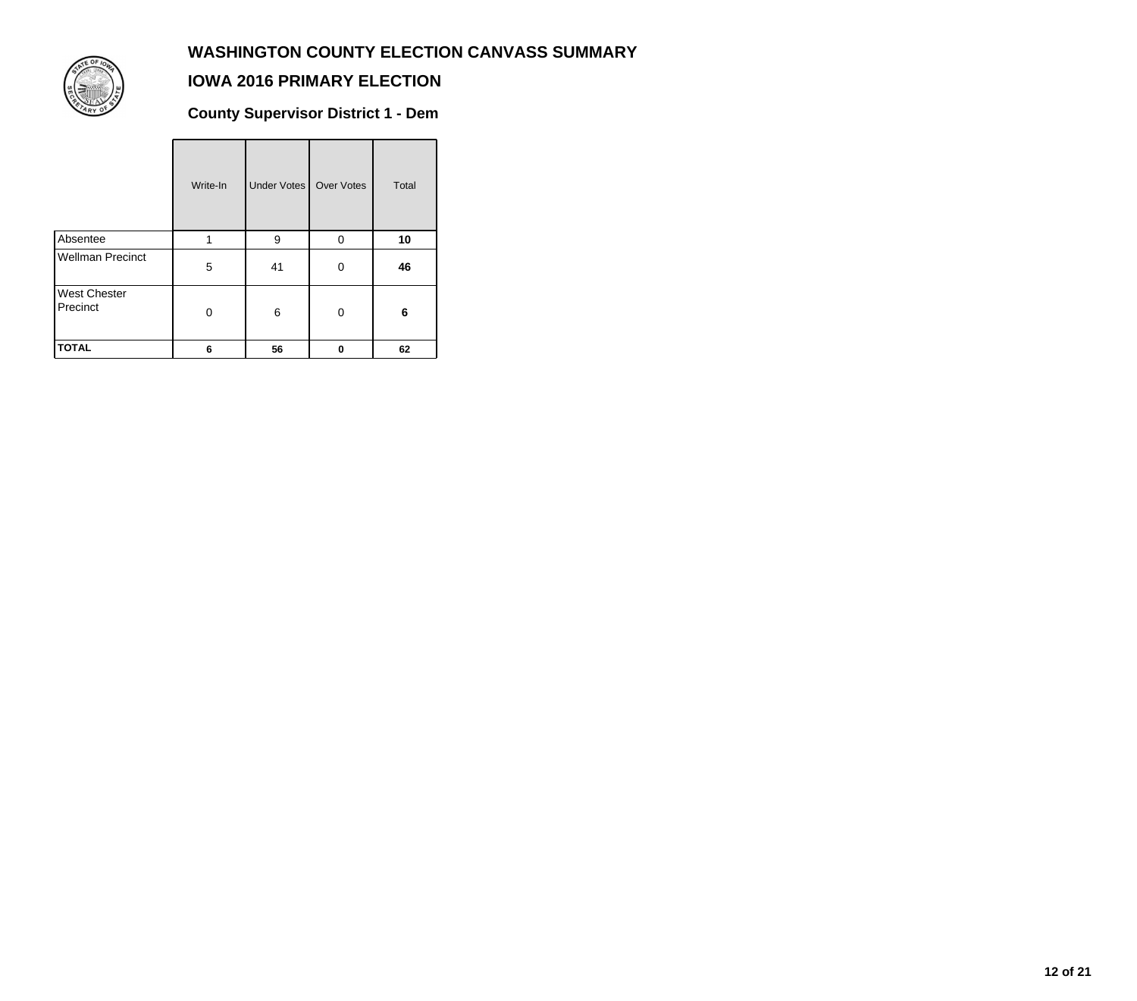

## **IOWA 2016 PRIMARY ELECTION**

**County Supervisor District 1 - Dem**

|                                 | Write-In | Under Votes | Over Votes | Total |
|---------------------------------|----------|-------------|------------|-------|
| Absentee                        | 1        | 9           | 0          | 10    |
| <b>Wellman Precinct</b>         | 5        | 41          | 0          | 46    |
| <b>West Chester</b><br>Precinct | 0        | 6           | 0          | 6     |
| <b>TOTAL</b>                    | 6        | 56          | 0          | 62    |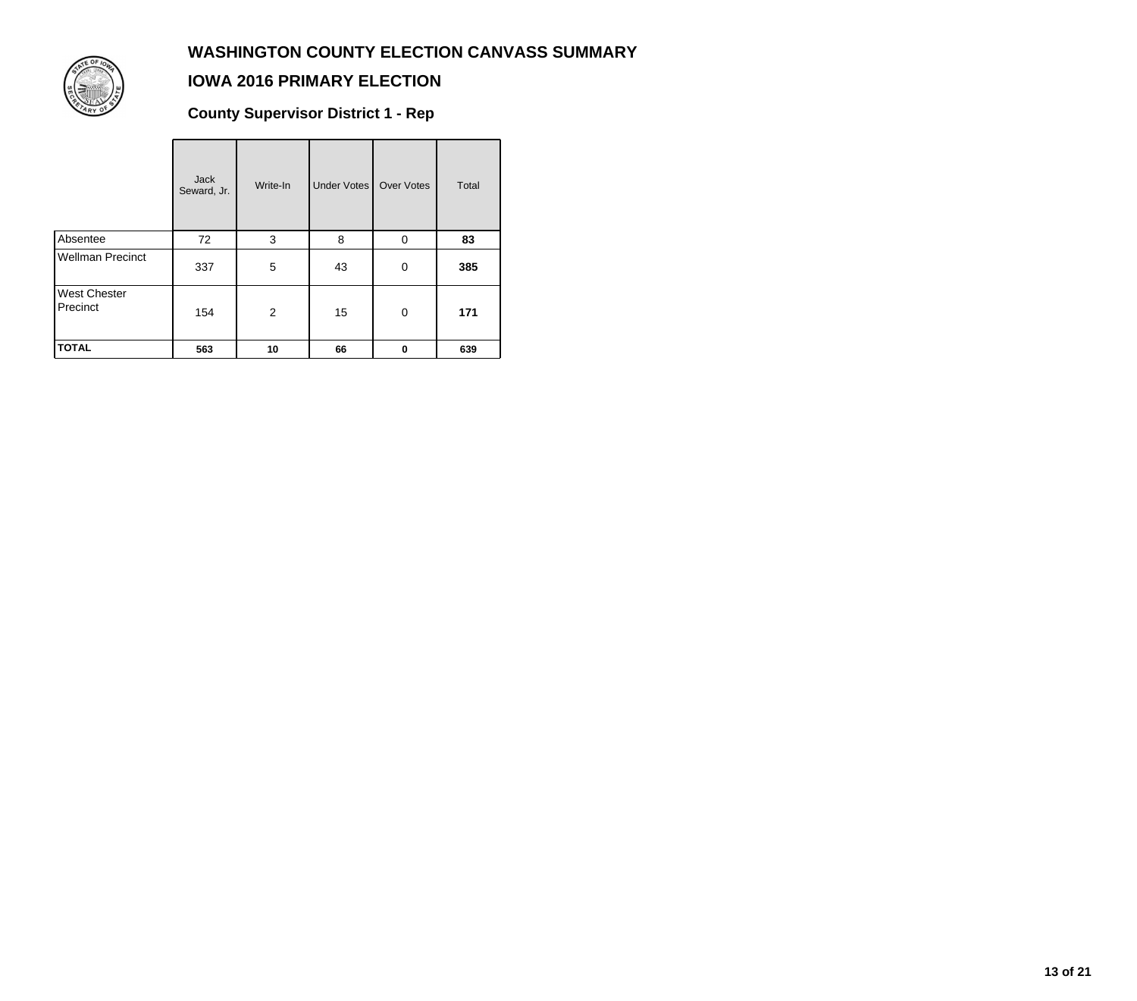

### **IOWA 2016 PRIMARY ELECTION**

**County Supervisor District 1 - Rep**

|                                 | <b>Jack</b><br>Seward, Jr. | Write-In | Under Votes | Over Votes  | Total |
|---------------------------------|----------------------------|----------|-------------|-------------|-------|
| Absentee                        | 72                         | 3        | 8           | $\Omega$    | 83    |
| <b>Wellman Precinct</b>         | 337                        | 5        | 43          | $\mathbf 0$ | 385   |
| <b>West Chester</b><br>Precinct | 154                        | 2        | 15          | 0           | 171   |
| <b>TOTAL</b>                    | 563                        | 10       | 66          | $\bf{0}$    | 639   |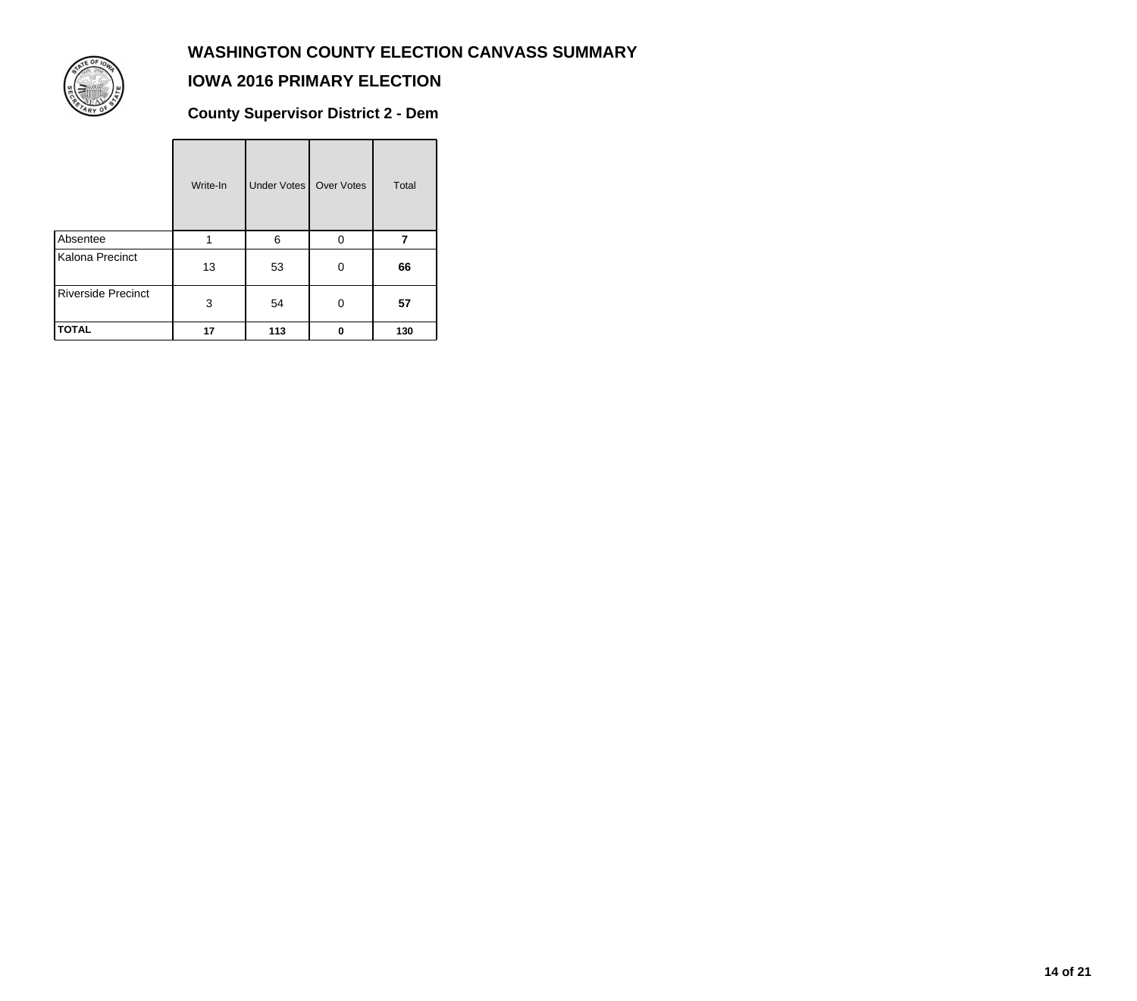

### **IOWA 2016 PRIMARY ELECTION**

**County Supervisor District 2 - Dem**

|                           | Write-In | Under Votes | Over Votes | <b>Total</b> |
|---------------------------|----------|-------------|------------|--------------|
| Absentee                  | 1        | 6           | 0          |              |
| Kalona Precinct           | 13       | 53          | 0          | 66           |
| <b>Riverside Precinct</b> | 3        | 54          | 0          | 57           |
| <b>TOTAL</b>              | 17       | 113         | 0          | 130          |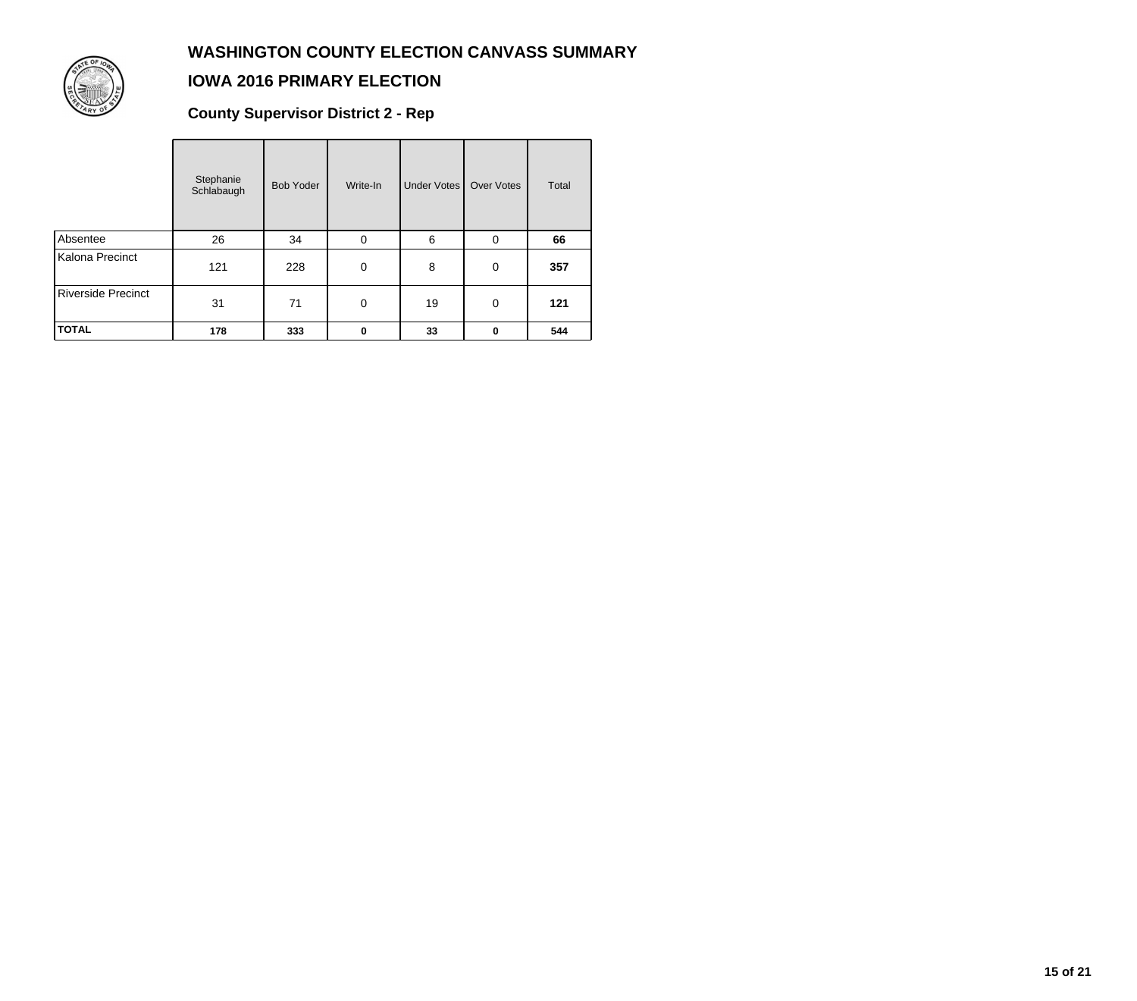

### **IOWA 2016 PRIMARY ELECTION**

**County Supervisor District 2 - Rep**

|                           | Stephanie<br>Schlabaugh | <b>Bob Yoder</b> | Write-In    | <b>Under Votes</b> | <b>Over Votes</b> | Total |
|---------------------------|-------------------------|------------------|-------------|--------------------|-------------------|-------|
| Absentee                  | 26                      | 34               | 0           | 6                  | $\mathbf 0$       | 66    |
| Kalona Precinct           | 121                     | 228              | $\mathbf 0$ | 8                  | 0                 | 357   |
| <b>Riverside Precinct</b> | 31                      | 71               | $\mathbf 0$ | 19                 | $\mathbf 0$       | 121   |
| <b>TOTAL</b>              | 178                     | 333              | 0           | 33                 | 0                 | 544   |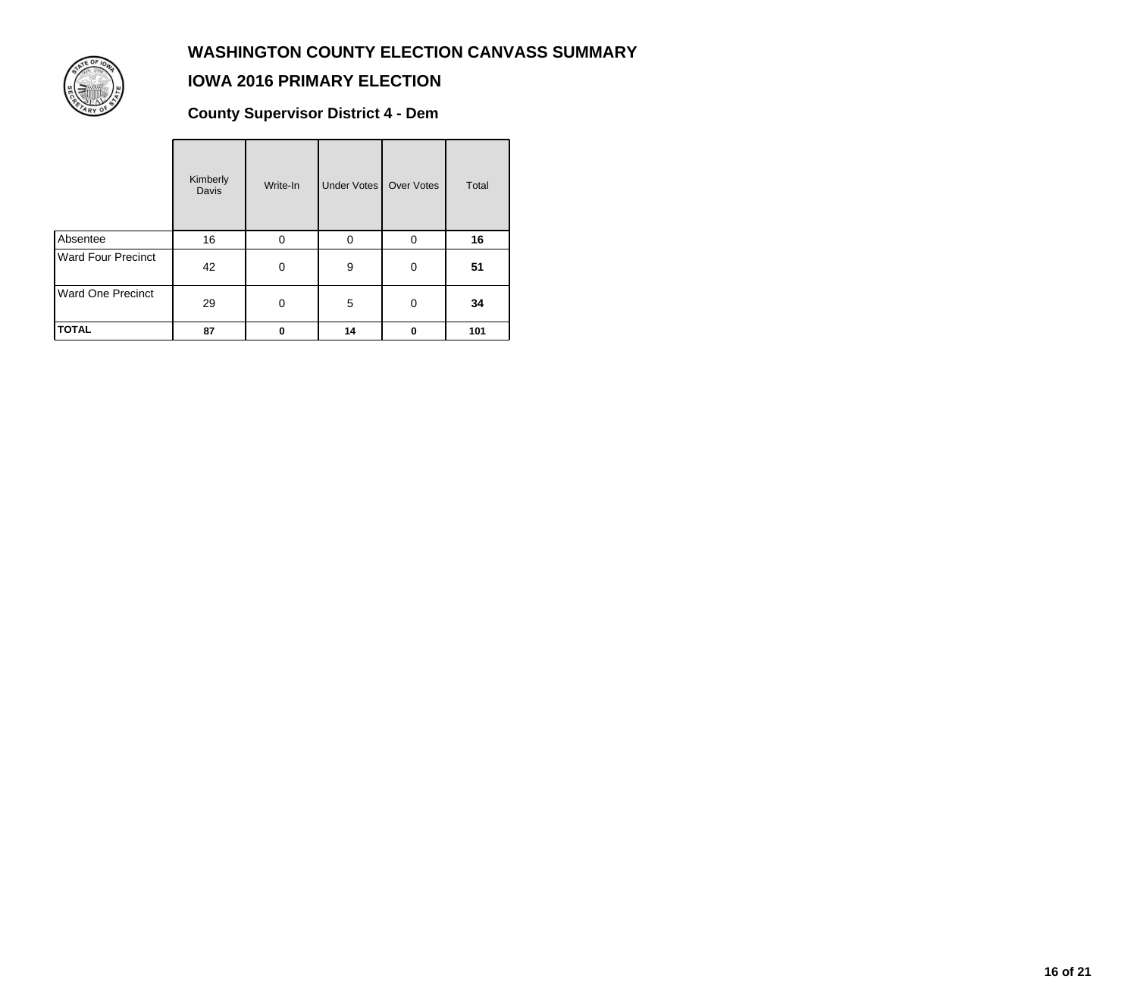

### **IOWA 2016 PRIMARY ELECTION**

**County Supervisor District 4 - Dem**

|                          | Kimberly<br><b>Davis</b> | Write-In | Under Votes | Over Votes | Total |
|--------------------------|--------------------------|----------|-------------|------------|-------|
| Absentee                 | 16                       | 0        | $\Omega$    | 0          | 16    |
| Ward Four Precinct       | 42                       | 0        | 9           | 0          | 51    |
| <b>Ward One Precinct</b> | 29                       | 0        | 5           | $\Omega$   | 34    |
| <b>TOTAL</b>             | 87                       | $\Omega$ | 14          | 0          | 101   |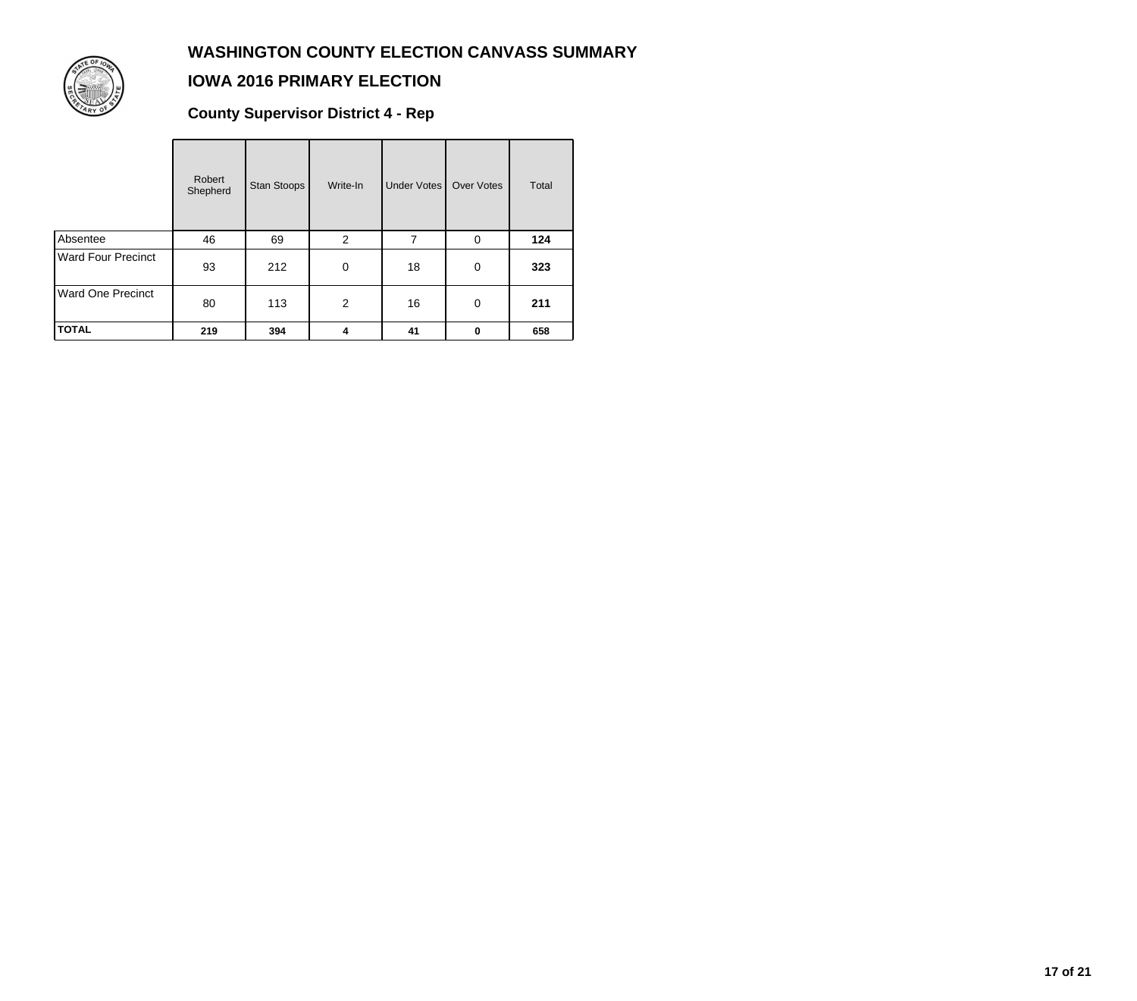

## **IOWA 2016 PRIMARY ELECTION**

**County Supervisor District 4 - Rep**

|                           | Robert<br>Shepherd | Stan Stoops | Write-In       | Under Votes    | <b>Over Votes</b> | Total |
|---------------------------|--------------------|-------------|----------------|----------------|-------------------|-------|
| Absentee                  | 46                 | 69          | 2              | $\overline{7}$ | 0                 | 124   |
| <b>Ward Four Precinct</b> | 93                 | 212         | 0              | 18             | 0                 | 323   |
| <b>Ward One Precinct</b>  | 80                 | 113         | $\overline{2}$ | 16             | 0                 | 211   |
| <b>TOTAL</b>              | 219                | 394         | 4              | 41             | 0                 | 658   |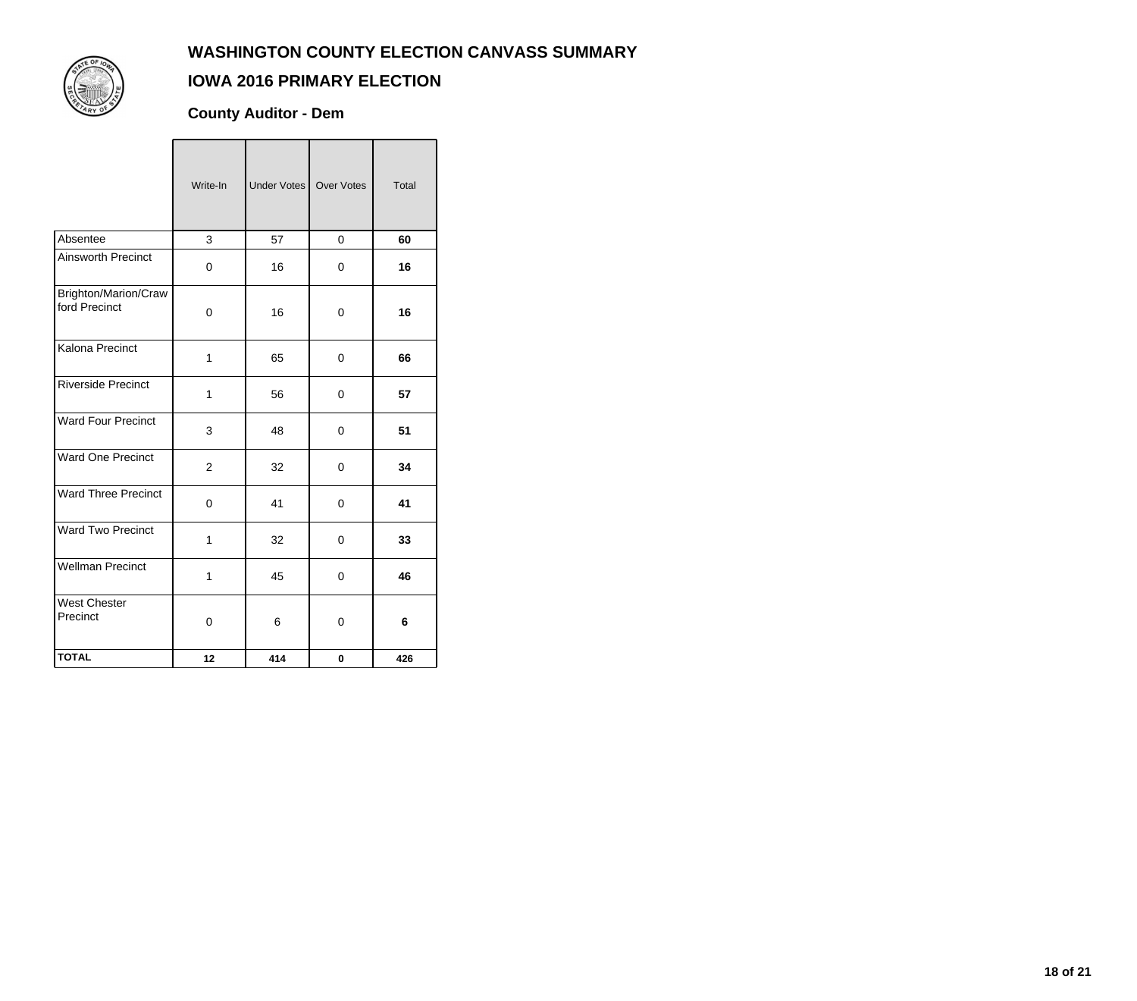

### **IOWA 2016 PRIMARY ELECTION**

**County Auditor - Dem**

|                                       | Write-In       | Under Votes   Over Votes |          | Total |
|---------------------------------------|----------------|--------------------------|----------|-------|
| Absentee                              | 3              | 57                       | $\Omega$ | 60    |
| Ainsworth Precinct                    | $\mathbf 0$    | 16                       | 0        | 16    |
| Brighton/Marion/Craw<br>ford Precinct | 0              | 16                       | 0        | 16    |
| Kalona Precinct                       | 1              | 65                       | 0        | 66    |
| <b>Riverside Precinct</b>             | 1              | 56                       | 0        | 57    |
| <b>Ward Four Precinct</b>             | 3              | 48                       | 0        | 51    |
| Ward One Precinct                     | $\overline{2}$ | 32                       | 0        | 34    |
| <b>Ward Three Precinct</b>            | 0              | 41                       | 0        | 41    |
| <b>Ward Two Precinct</b>              | 1              | 32                       | $\Omega$ | 33    |
| <b>Wellman Precinct</b>               | 1              | 45                       | 0        | 46    |
| <b>West Chester</b><br>Precinct       | 0              | 6                        | 0        | 6     |
| <b>TOTAL</b>                          | 12             | 414                      | 0        | 426   |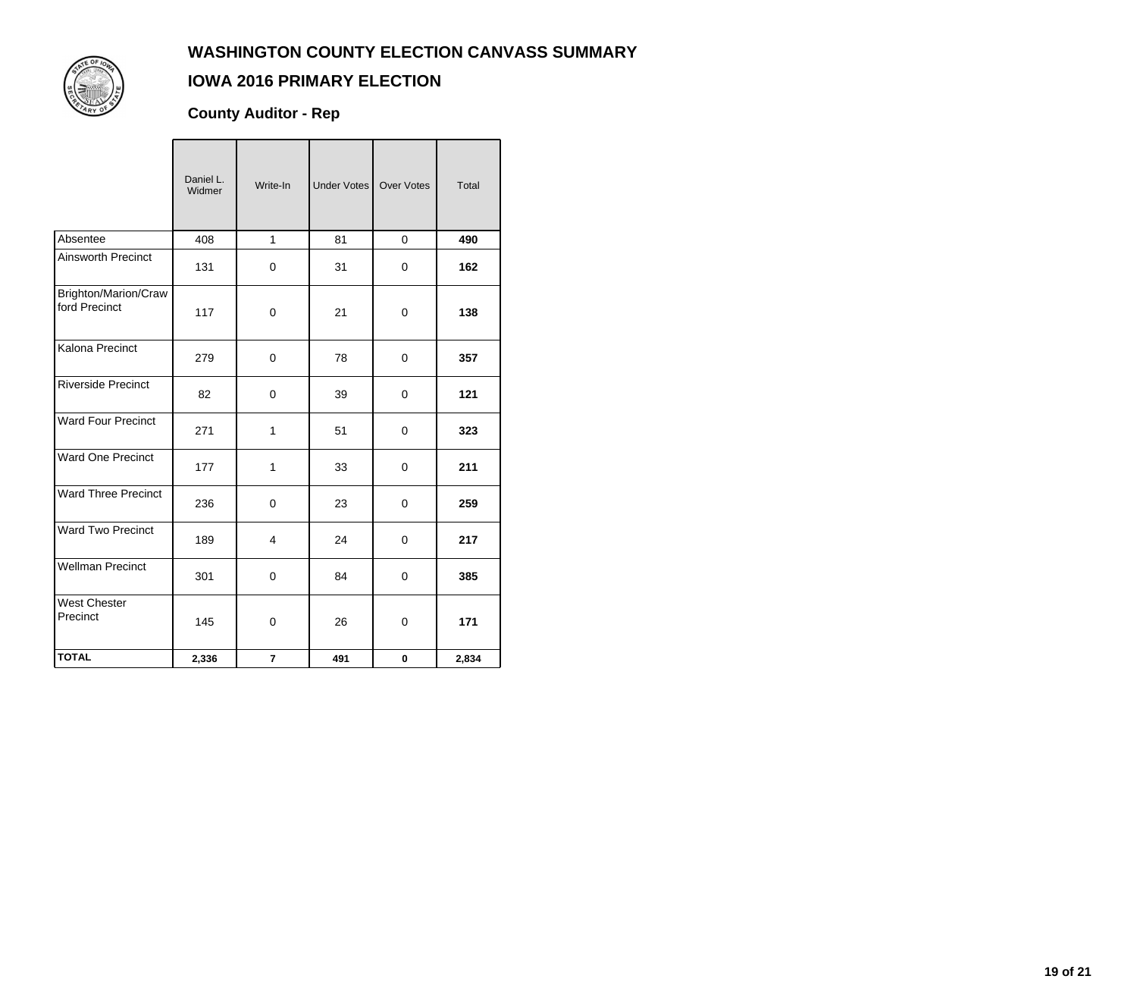

## **IOWA 2016 PRIMARY ELECTION**

**County Auditor - Rep**

|                                       | Daniel L.<br>Widmer | Write-In                | <b>Under Votes</b> | Over Votes  | Total |
|---------------------------------------|---------------------|-------------------------|--------------------|-------------|-------|
| Absentee                              | 408                 | $\mathbf{1}$            | 81                 | $\mathbf 0$ | 490   |
| <b>Ainsworth Precinct</b>             | 131                 | $\mathbf 0$             | 31                 | $\mathbf 0$ | 162   |
| Brighton/Marion/Craw<br>ford Precinct | 117                 | 0                       | 21                 | $\mathbf 0$ | 138   |
| Kalona Precinct                       | 279                 | $\mathbf 0$             | 78                 | $\mathbf 0$ | 357   |
| <b>Riverside Precinct</b>             | 82                  | 0                       | 39                 | 0           | 121   |
| <b>Ward Four Precinct</b>             | 271                 | $\mathbf{1}$            | 51                 | $\Omega$    | 323   |
| <b>Ward One Precinct</b>              | 177                 | $\mathbf{1}$            | 33                 | $\mathbf 0$ | 211   |
| <b>Ward Three Precinct</b>            | 236                 | 0                       | 23                 | 0           | 259   |
| <b>Ward Two Precinct</b>              | 189                 | $\overline{4}$          | 24                 | $\mathbf 0$ | 217   |
| <b>Wellman Precinct</b>               | 301                 | 0                       | 84                 | 0           | 385   |
| <b>West Chester</b><br>Precinct       | 145                 | $\mathbf 0$             | 26                 | 0           | 171   |
| <b>TOTAL</b>                          | 2,336               | $\overline{\mathbf{r}}$ | 491                | $\pmb{0}$   | 2,834 |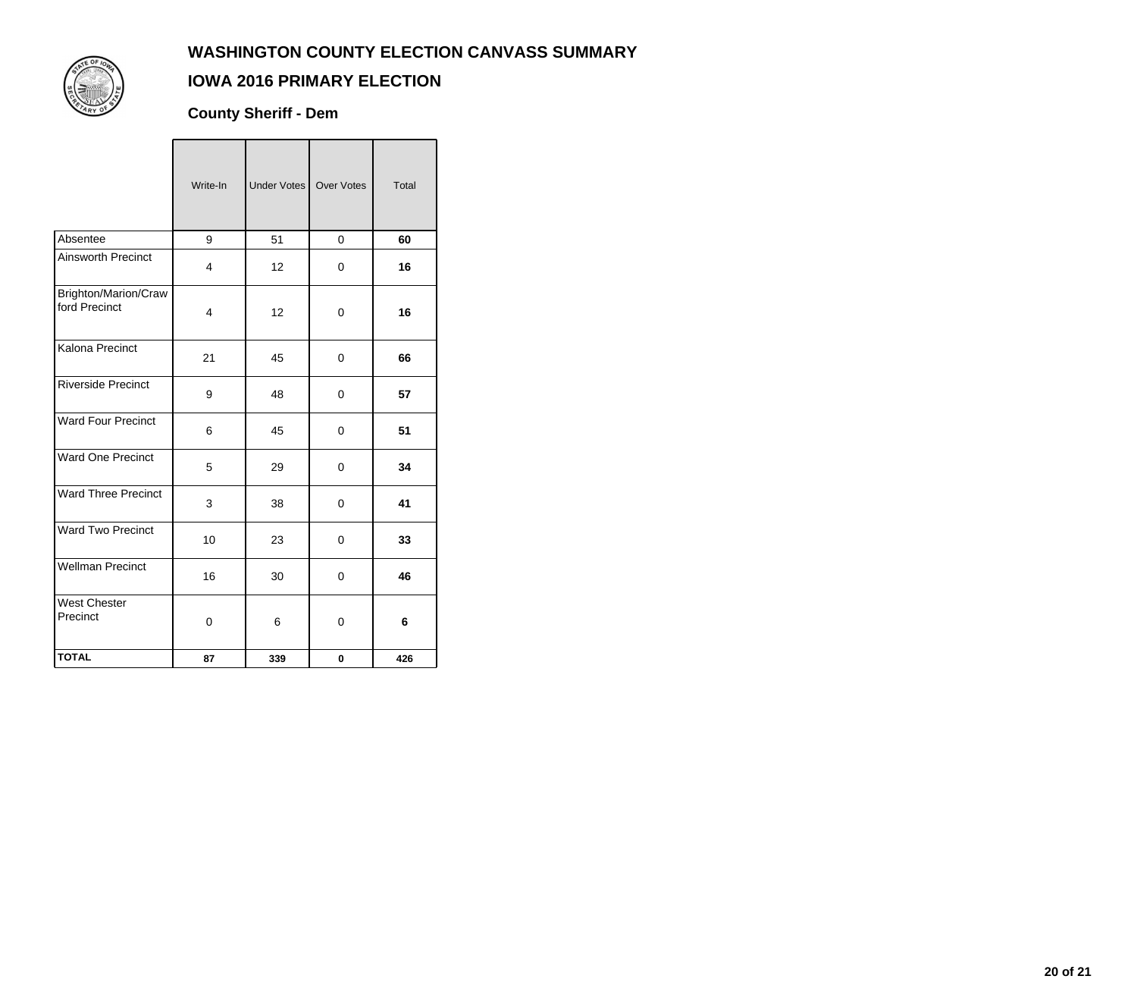

## **IOWA 2016 PRIMARY ELECTION**

**County Sheriff - Dem**

|                                       | Write-In | Under Votes   Over Votes |             | Total |
|---------------------------------------|----------|--------------------------|-------------|-------|
| Absentee                              | 9        | 51                       | 0           | 60    |
| <b>Ainsworth Precinct</b>             | 4        | 12                       | 0           | 16    |
| Brighton/Marion/Craw<br>ford Precinct | 4        | 12                       | 0           | 16    |
| Kalona Precinct                       | 21       | 45                       | 0           | 66    |
| <b>Riverside Precinct</b>             | 9        | 48                       | 0           | 57    |
| <b>Ward Four Precinct</b>             | 6        | 45                       | 0           | 51    |
| <b>Ward One Precinct</b>              | 5        | 29                       | 0           | 34    |
| <b>Ward Three Precinct</b>            | 3        | 38                       | $\mathsf 0$ | 41    |
| <b>Ward Two Precinct</b>              | 10       | 23                       | 0           | 33    |
| <b>Wellman Precinct</b>               | 16       | 30                       | 0           | 46    |
| <b>West Chester</b><br>Precinct       | 0        | 6                        | 0           | 6     |
| <b>TOTAL</b>                          | 87       | 339                      | $\mathbf 0$ | 426   |